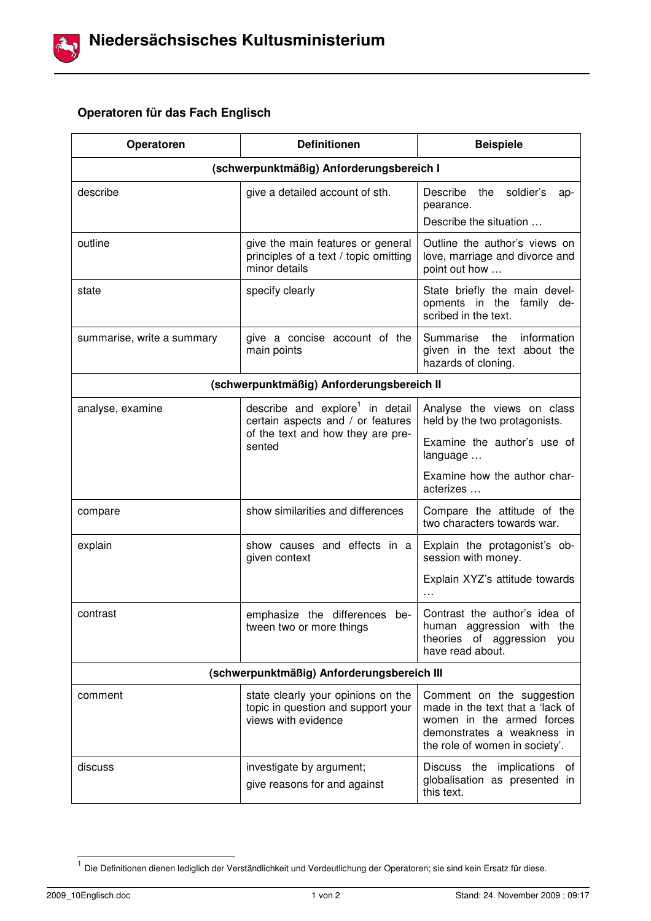

## **Operatoren für das Fach Englisch**

| Operatoren                                 | <b>Definitionen</b>                                                                                                             | <b>Beispiele</b>                                                                                                                                           |  |
|--------------------------------------------|---------------------------------------------------------------------------------------------------------------------------------|------------------------------------------------------------------------------------------------------------------------------------------------------------|--|
| (schwerpunktmäßig) Anforderungsbereich I   |                                                                                                                                 |                                                                                                                                                            |  |
| describe                                   | give a detailed account of sth.                                                                                                 | Describe<br>the<br>soldier's<br>ap-<br>pearance.<br>Describe the situation                                                                                 |  |
| outline                                    | give the main features or general<br>principles of a text / topic omitting<br>minor details                                     | Outline the author's views on<br>love, marriage and divorce and<br>point out how                                                                           |  |
| state                                      | specify clearly                                                                                                                 | State briefly the main devel-<br>opments in the family de-<br>scribed in the text.                                                                         |  |
| summarise, write a summary                 | give a concise account of the<br>main points                                                                                    | information<br>Summarise<br>the<br>given in the text about the<br>hazards of cloning.                                                                      |  |
| (schwerpunktmäßig) Anforderungsbereich II  |                                                                                                                                 |                                                                                                                                                            |  |
| analyse, examine                           | describe and explore <sup>1</sup> in detail<br>certain aspects and / or features<br>of the text and how they are pre-<br>sented | Analyse the views on class<br>held by the two protagonists.                                                                                                |  |
|                                            |                                                                                                                                 | Examine the author's use of<br>language                                                                                                                    |  |
|                                            |                                                                                                                                 | Examine how the author char-<br>acterizes                                                                                                                  |  |
| compare                                    | show similarities and differences                                                                                               | Compare the attitude of the<br>two characters towards war.                                                                                                 |  |
| explain                                    | show causes and effects in a<br>given context                                                                                   | Explain the protagonist's ob-<br>session with money.                                                                                                       |  |
|                                            |                                                                                                                                 | Explain XYZ's attitude towards<br>$\cdots$                                                                                                                 |  |
| contrast                                   | emphasize the differences be-<br>tween two or more things                                                                       | Contrast the author's idea of<br>human aggression with the<br>theories of aggression<br>you<br>have read about.                                            |  |
| (schwerpunktmäßig) Anforderungsbereich III |                                                                                                                                 |                                                                                                                                                            |  |
| comment                                    | state clearly your opinions on the<br>topic in question and support your<br>views with evidence                                 | Comment on the suggestion<br>made in the text that a 'lack of<br>women in the armed forces<br>demonstrates a weakness in<br>the role of women in society'. |  |
| discuss                                    | investigate by argument;<br>give reasons for and against                                                                        | Discuss the implications of<br>globalisation as presented in<br>this text.                                                                                 |  |

 1 Die Definitionen dienen lediglich der Verständlichkeit und Verdeutlichung der Operatoren; sie sind kein Ersatz für diese.